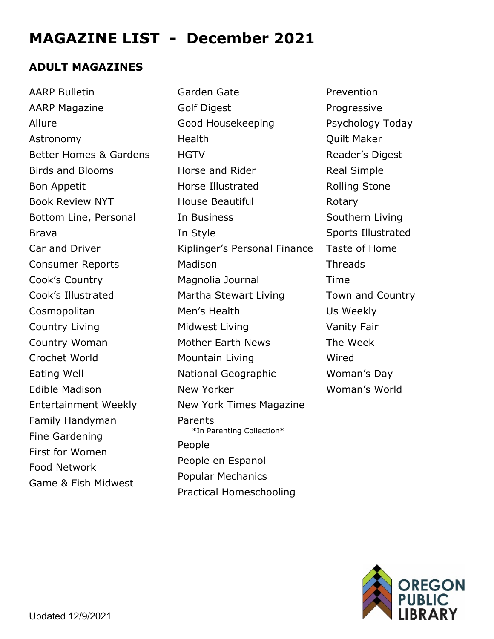# **MAGAZINE LIST - December 2021**

### **ADULT MAGAZINES**

AARP Bulletin AARP Magazine Allure Astronomy Better Homes & Gardens Birds and Blooms Bon Appetit Book Review NYT Bottom Line, Personal Brava Car and Driver Consumer Reports Cook's Country Cook's Illustrated Cosmopolitan Country Living Country Woman Crochet World Eating Well Edible Madison Entertainment Weekly Family Handyman Fine Gardening First for Women Food Network Game & Fish Midwest

Garden Gate Golf Digest Good Housekeeping Health **HGTV** Horse and Rider Horse Illustrated House Beautiful In Business In Style Kiplinger's Personal Finance Madison Magnolia Journal Martha Stewart Living Men's Health Midwest Living Mother Earth News Mountain Living National Geographic New Yorker New York Times Magazine Parents<br>\*In Parenting Collection\* People People en Espanol Popular Mechanics Practical Homeschooling

Prevention Progressive Psychology Today Quilt Maker Reader's Digest Real Simple Rolling Stone Rotary Southern Living Sports Illustrated Taste of Home **Threads** Time Town and Country Us Weekly Vanity Fair The Week Wired Woman's Day Woman's World